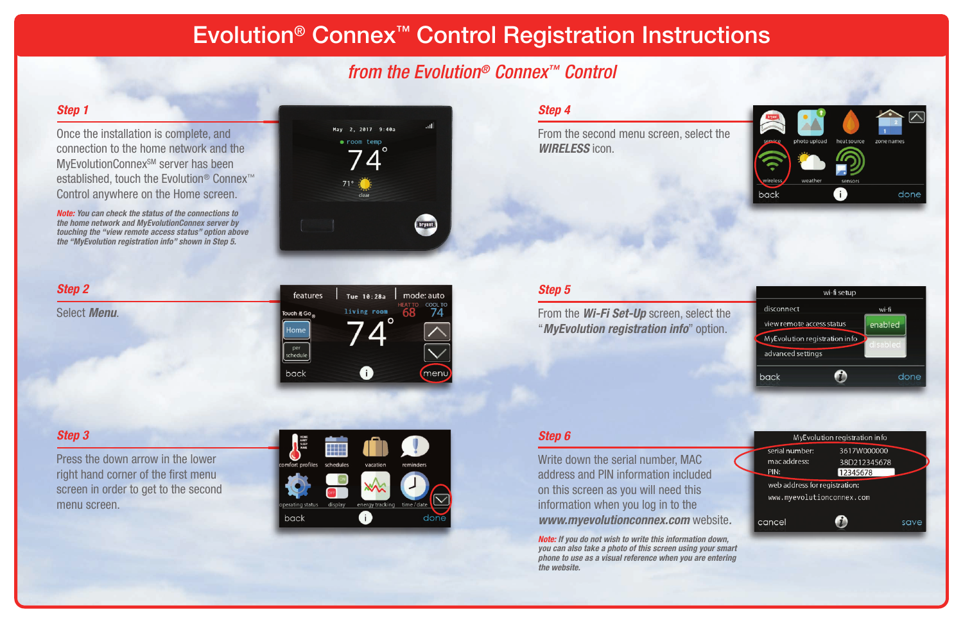### *Step 1*

Once the installation is complete, and connection to the home network and the **MyEvolutionConnex<sup>SM</sup>** server has been established, touch the Evolution® Connex™ Control anywhere on the Home screen.

*Note: You can check the status of the connections to the home network and MyEvolutionConnex server by touching the "view remote access status" option above the "MyEvolution registration info" shown in Step 5.*



#### *Step 2*

Select *Menu*.



### *Step 3*

Press the down arrow in the lower right hand corner of the first menu screen in order to get to the second menu screen.



### *Step 4*

From the second menu screen, select the *WIRELESS* icon.

# Evolution® Connex™ Control Registration Instructions

# *from the Evolution® Connex™ Control*

### *Step 5*

From the *Wi-Fi Set-Up* screen, select the "*MyEvolution registration info*" option.

### *Step 6*

Write down the serial number, MAC address and PIN information included on this screen as you will need this information when you log in to the *www.myevolutionconnex.com* website*.*

*Note: If you do not wish to write this information down, you can also take a photo of this screen using your smart phone to use as a visual reference when you are entering the website.*